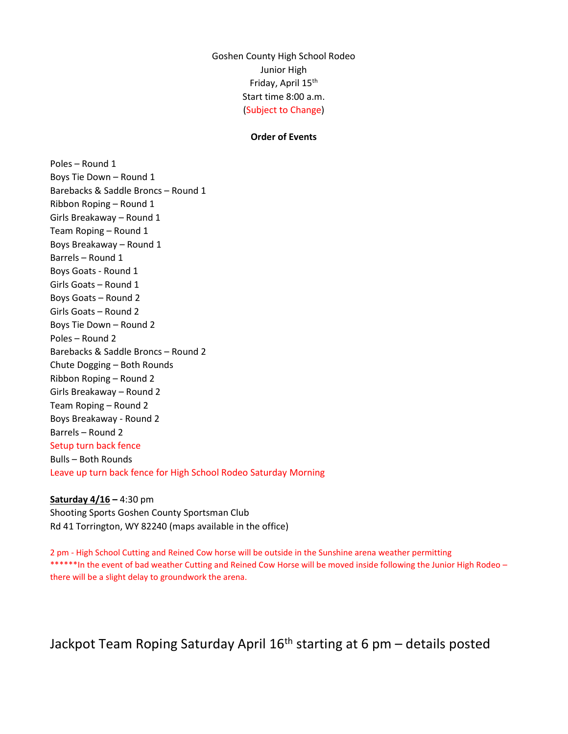Goshen County High School Rodeo Junior High Friday, April 15<sup>th</sup> Start time 8:00 a.m. (Subject to Change)

## Order of Events

Poles – Round 1 Boys Tie Down – Round 1 Barebacks & Saddle Broncs – Round 1 Ribbon Roping – Round 1 Girls Breakaway – Round 1 Team Roping – Round 1 Boys Breakaway – Round 1 Barrels – Round 1 Boys Goats - Round 1 Girls Goats – Round 1 Boys Goats – Round 2 Girls Goats – Round 2 Boys Tie Down – Round 2 Poles – Round 2 Barebacks & Saddle Broncs – Round 2 Chute Dogging – Both Rounds Ribbon Roping – Round 2 Girls Breakaway – Round 2 Team Roping – Round 2 Boys Breakaway - Round 2 Barrels – Round 2 Setup turn back fence Bulls – Both Rounds Leave up turn back fence for High School Rodeo Saturday Morning

Saturday 4/16 - 4:30 pm Shooting Sports Goshen County Sportsman Club Rd 41 Torrington, WY 82240 (maps available in the office)

2 pm - High School Cutting and Reined Cow horse will be outside in the Sunshine arena weather permitting \*\*\*\*\*In the event of bad weather Cutting and Reined Cow Horse will be moved inside following the Junior High Rodeo there will be a slight delay to groundwork the arena.

Jackpot Team Roping Saturday April  $16<sup>th</sup>$  starting at 6 pm – details posted